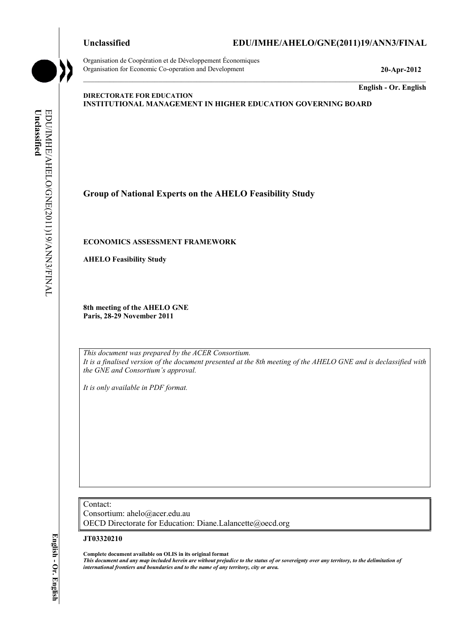# **Unclassified EDU/IMHE/AHELO/GNE(2011)19/ANN3/FINAL**

Organisation de Coopération et de Développement Économiques Organisation for Economic Co-operation and Development **20-Apr-2012** 

**English - Or. English** 

#### **DIRECTORATE FOR EDUCATION INSTITUTIONAL MANAGEMENT IN HIGHER EDUCATION GOVERNING BOARD**

# **Group of National Experts on the AHELO Feasibility Study**

#### **ECONOMICS ASSESSMENT FRAMEWORK**

**AHELO Feasibility Study** 

**8th meeting of the AHELO GNE Paris, 28-29 November 2011** 

*This document was prepared by the ACER Consortium. It is a finalised version of the document presented at the 8th meeting of the AHELO GNE and is declassified with the GNE and Consortium's approval.* 

*It is only available in PDF format.* 

Contact: Consortium: ahelo@acer.edu.au OECD Directorate for Education: Diane.Lalancette@oecd.org

#### **JT03320210**

**Complete document available on OLIS in its original format** *This document and any map included herein are without prejudice to the status of or sovereignty over any territory, to the delimitation of international frontiers and boundaries and to the name of any territory, city or area.*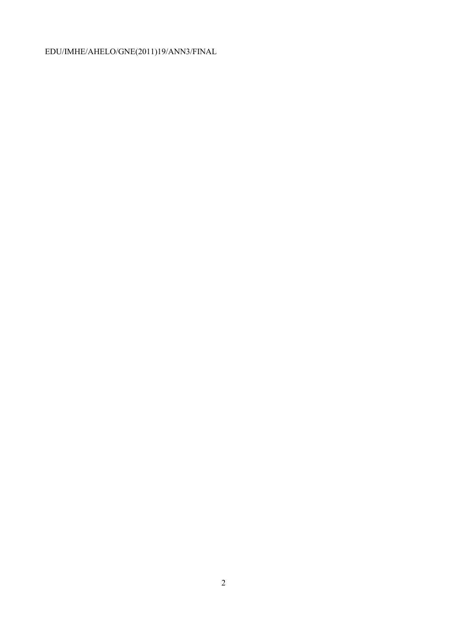EDU/IMHE/AHELO/GNE(2011)19/ANN3/FINAL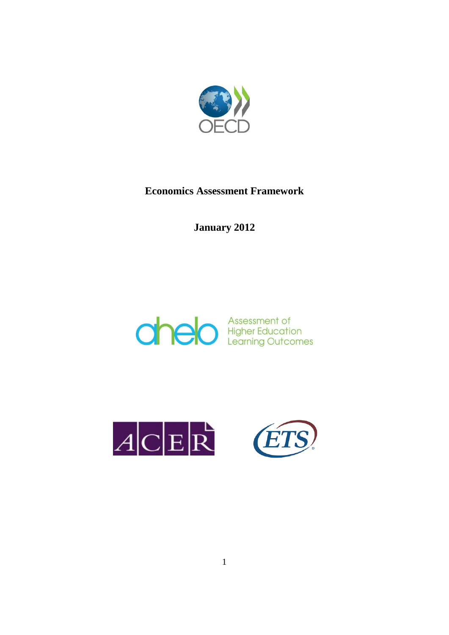

# **Economics Assessment Framework**

**January 2012**



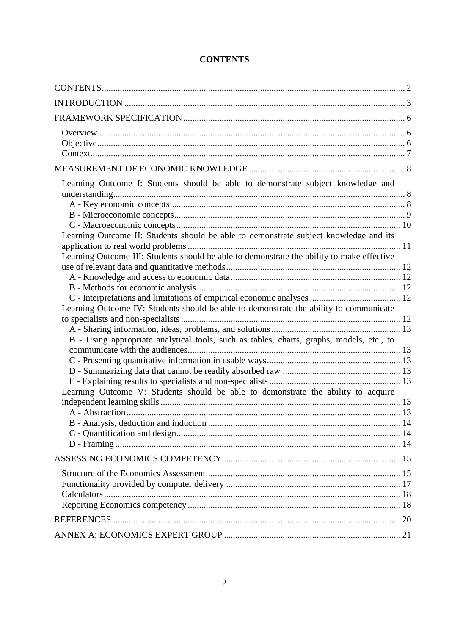| Learning Outcome I: Students should be able to demonstrate subject knowledge and           |  |
|--------------------------------------------------------------------------------------------|--|
|                                                                                            |  |
|                                                                                            |  |
|                                                                                            |  |
| Learning Outcome II: Students should be able to demonstrate subject knowledge and its      |  |
|                                                                                            |  |
| Learning Outcome III: Students should be able to demonstrate the ability to make effective |  |
|                                                                                            |  |
|                                                                                            |  |
|                                                                                            |  |
|                                                                                            |  |
| Learning Outcome IV: Students should be able to demonstrate the ability to communicate     |  |
|                                                                                            |  |
|                                                                                            |  |
| B - Using appropriate analytical tools, such as tables, charts, graphs, models, etc., to   |  |
|                                                                                            |  |
|                                                                                            |  |
|                                                                                            |  |
| Learning Outcome V: Students should be able to demonstrate the ability to acquire          |  |
|                                                                                            |  |
|                                                                                            |  |
|                                                                                            |  |
|                                                                                            |  |
|                                                                                            |  |
|                                                                                            |  |
|                                                                                            |  |
|                                                                                            |  |
|                                                                                            |  |
|                                                                                            |  |
|                                                                                            |  |
|                                                                                            |  |

# **CONTENTS**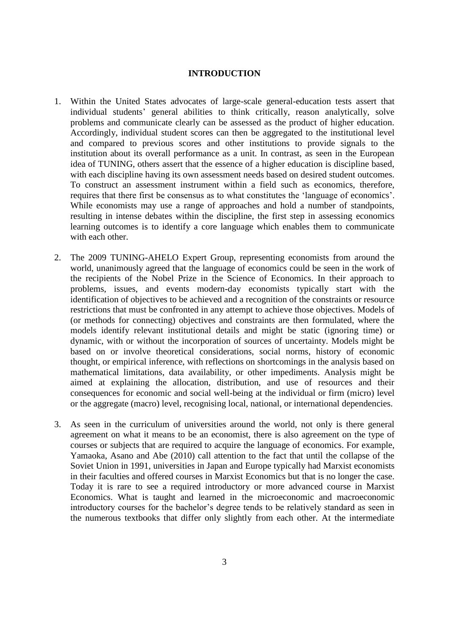#### **INTRODUCTION**

- 1. Within the United States advocates of large-scale general-education tests assert that individual students" general abilities to think critically, reason analytically, solve problems and communicate clearly can be assessed as the product of higher education. Accordingly, individual student scores can then be aggregated to the institutional level and compared to previous scores and other institutions to provide signals to the institution about its overall performance as a unit. In contrast, as seen in the European idea of TUNING, others assert that the essence of a higher education is discipline based, with each discipline having its own assessment needs based on desired student outcomes. To construct an assessment instrument within a field such as economics, therefore, requires that there first be consensus as to what constitutes the "language of economics". While economists may use a range of approaches and hold a number of standpoints, resulting in intense debates within the discipline, the first step in assessing economics learning outcomes is to identify a core language which enables them to communicate with each other.
- 2. The 2009 TUNING-AHELO Expert Group, representing economists from around the world, unanimously agreed that the language of economics could be seen in the work of the recipients of the Nobel Prize in the Science of Economics. In their approach to problems, issues, and events modern-day economists typically start with the identification of objectives to be achieved and a recognition of the constraints or resource restrictions that must be confronted in any attempt to achieve those objectives. Models of (or methods for connecting) objectives and constraints are then formulated, where the models identify relevant institutional details and might be static (ignoring time) or dynamic, with or without the incorporation of sources of uncertainty. Models might be based on or involve theoretical considerations, social norms, history of economic thought, or empirical inference, with reflections on shortcomings in the analysis based on mathematical limitations, data availability, or other impediments. Analysis might be aimed at explaining the allocation, distribution, and use of resources and their consequences for economic and social well-being at the individual or firm (micro) level or the aggregate (macro) level, recognising local, national, or international dependencies.
- 3. As seen in the curriculum of universities around the world, not only is there general agreement on what it means to be an economist, there is also agreement on the type of courses or subjects that are required to acquire the language of economics. For example, Yamaoka, Asano and Abe (2010) call attention to the fact that until the collapse of the Soviet Union in 1991, universities in Japan and Europe typically had Marxist economists in their faculties and offered courses in Marxist Economics but that is no longer the case. Today it is rare to see a required introductory or more advanced course in Marxist Economics. What is taught and learned in the microeconomic and macroeconomic introductory courses for the bachelor's degree tends to be relatively standard as seen in the numerous textbooks that differ only slightly from each other. At the intermediate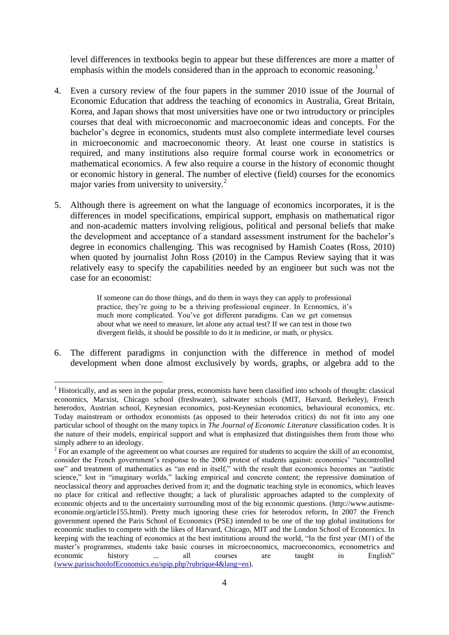level differences in textbooks begin to appear but these differences are more a matter of emphasis within the models considered than in the approach to economic reasoning.<sup>1</sup>

- 4. Even a cursory review of the four papers in the summer 2010 issue of the Journal of Economic Education that address the teaching of economics in Australia, Great Britain, Korea, and Japan shows that most universities have one or two introductory or principles courses that deal with microeconomic and macroeconomic ideas and concepts. For the bachelor"s degree in economics, students must also complete intermediate level courses in microeconomic and macroeconomic theory. At least one course in statistics is required, and many institutions also require formal course work in econometrics or mathematical economics. A few also require a course in the history of economic thought or economic history in general. The number of elective (field) courses for the economics major varies from university to university. $2^2$
- 5. Although there is agreement on what the language of economics incorporates, it is the differences in model specifications, empirical support, emphasis on mathematical rigor and non-academic matters involving religious, political and personal beliefs that make the development and acceptance of a standard assessment instrument for the bachelor"s degree in economics challenging. This was recognised by Hamish Coates (Ross, 2010) when quoted by journalist John Ross (2010) in the Campus Review saying that it was relatively easy to specify the capabilities needed by an engineer but such was not the case for an economist:

If someone can do those things, and do them in ways they can apply to professional practice, they"re going to be a thriving professional engineer. In Economics, it"s much more complicated. You"ve got different paradigms. Can we get consensus about what we need to measure, let alone any actual test? If we can test in those two divergent fields, it should be possible to do it in medicine, or math, or physics.

6. The different paradigms in conjunction with the difference in method of model development when done almost exclusively by words, graphs, or algebra add to the

<u>.</u>

<sup>&</sup>lt;sup>1</sup> Historically, and as seen in the popular press, economists have been classified into schools of thought: classical economics, Marxist, Chicago school (freshwater), saltwater schools (MIT, Harvard, Berkeley), French heterodox, Austrian school, Keynesian economics, post-Keynesian economics, behavioural economics, etc. Today mainstream or orthodox economists (as opposed to their heterodox critics) do not fit into any one particular school of thought on the many topics in *The Journal of Economic Literature* classification codes. It is the nature of their models, empirical support and what is emphasized that distinguishes them from those who simply adhere to an ideology.

 $2 \overline{P}$  For an example of the agreement on what courses are required for students to acquire the skill of an economist, consider the French government's response to the 2000 protest of students against: economics' "uncontrolled" use" and treatment of mathematics as "an end in itself," with the result that economics becomes an "autistic science," lost in "imaginary worlds," lacking empirical and concrete content; the repressive domination of neoclassical theory and approaches derived from it; and the dogmatic teaching style in economics, which leaves no place for critical and reflective thought; a lack of pluralistic approaches adapted to the complexity of economic objects and to the uncertainty surrounding most of the big economic questions. [\(http://www.autisme](http://www.autisme-economie.org/article155.html)[economie.org/article155.html\)](http://www.autisme-economie.org/article155.html). Pretty much ignoring these cries for heterodox reform, In 2007 the French government opened the Paris School of Economics (PSE) intended to be one of the top global institutions for economic studies to compete with the likes of [Harvard,](http://en.wikipedia.org/wiki/Harvard_University) Chicago, [MIT](http://en.wikipedia.org/wiki/MIT) and the [London School of Economics.](http://en.wikipedia.org/wiki/London_School_of_Economics) In keeping with the teaching of economics at the best institutions around the world, "In the first year (M1) of the master"s programmes, students take basic courses in microeconomics, macroeconomics, econometrics and economic history ... all courses are taught in English" [\(www.parisschoolofEconomics.eu/spip.php?rubrique4&lang=en\)](http://www.parisschoolofeconomics.eu/spip.php?rubrique4&lang=en).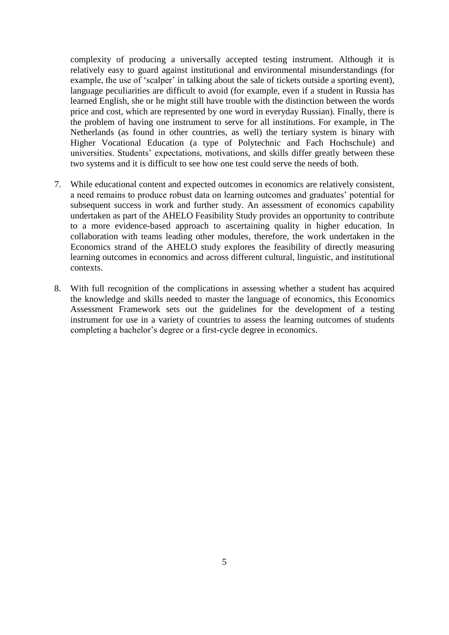complexity of producing a universally accepted testing instrument. Although it is relatively easy to guard against institutional and environmental misunderstandings (for example, the use of 'scalper' in talking about the sale of tickets outside a sporting event), language peculiarities are difficult to avoid (for example, even if a student in Russia has learned English, she or he might still have trouble with the distinction between the words price and cost, which are represented by one word in everyday Russian). Finally, there is the problem of having one instrument to serve for all institutions. For example, in The Netherlands (as found in other countries, as well) the tertiary system is binary with Higher Vocational Education (a type of Polytechnic and Fach Hochschule) and universities. Students' expectations, motivations, and skills differ greatly between these two systems and it is difficult to see how one test could serve the needs of both.

- 7. While educational content and expected outcomes in economics are relatively consistent, a need remains to produce robust data on learning outcomes and graduates' potential for subsequent success in work and further study. An assessment of economics capability undertaken as part of the AHELO Feasibility Study provides an opportunity to contribute to a more evidence-based approach to ascertaining quality in higher education. In collaboration with teams leading other modules, therefore, the work undertaken in the Economics strand of the AHELO study explores the feasibility of directly measuring learning outcomes in economics and across different cultural, linguistic, and institutional contexts.
- 8. With full recognition of the complications in assessing whether a student has acquired the knowledge and skills needed to master the language of economics, this Economics Assessment Framework sets out the guidelines for the development of a testing instrument for use in a variety of countries to assess the learning outcomes of students completing a bachelor"s degree or a first-cycle degree in economics.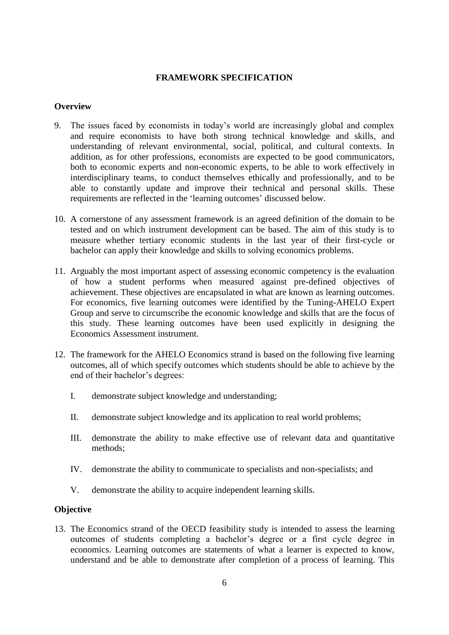# **FRAMEWORK SPECIFICATION**

### **Overview**

- 9. The issues faced by economists in today"s world are increasingly global and complex and require economists to have both strong technical knowledge and skills, and understanding of relevant environmental, social, political, and cultural contexts. In addition, as for other professions, economists are expected to be good communicators, both to economic experts and non-economic experts, to be able to work effectively in interdisciplinary teams, to conduct themselves ethically and professionally, and to be able to constantly update and improve their technical and personal skills. These requirements are reflected in the 'learning outcomes' discussed below.
- 10. A cornerstone of any assessment framework is an agreed definition of the domain to be tested and on which instrument development can be based. The aim of this study is to measure whether tertiary economic students in the last year of their first-cycle or bachelor can apply their knowledge and skills to solving economics problems.
- 11. Arguably the most important aspect of assessing economic competency is the evaluation of how a student performs when measured against pre-defined objectives of achievement. These objectives are encapsulated in what are known as learning outcomes. For economics, five learning outcomes were identified by the Tuning-AHELO Expert Group and serve to circumscribe the economic knowledge and skills that are the focus of this study. These learning outcomes have been used explicitly in designing the Economics Assessment instrument.
- 12. The framework for the AHELO Economics strand is based on the following five learning outcomes, all of which specify outcomes which students should be able to achieve by the end of their bachelor"s degrees:
	- I. demonstrate subject knowledge and understanding;
	- II. demonstrate subject knowledge and its application to real world problems;
	- III. demonstrate the ability to make effective use of relevant data and quantitative methods;
	- IV. demonstrate the ability to communicate to specialists and non-specialists; and
	- V. demonstrate the ability to acquire independent learning skills.

# **Objective**

13. The Economics strand of the OECD feasibility study is intended to assess the learning outcomes of students completing a bachelor"s degree or a first cycle degree in economics. Learning outcomes are statements of what a learner is expected to know, understand and be able to demonstrate after completion of a process of learning. This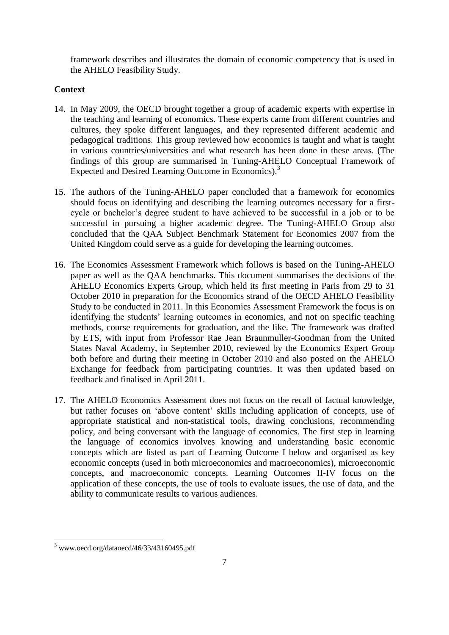framework describes and illustrates the domain of economic competency that is used in the AHELO Feasibility Study.

# **Context**

- 14. In May 2009, the OECD brought together a group of academic experts with expertise in the teaching and learning of economics. These experts came from different countries and cultures, they spoke different languages, and they represented different academic and pedagogical traditions. This group reviewed how economics is taught and what is taught in various countries/universities and what research has been done in these areas. (The findings of this group are summarised in Tuning-AHELO Conceptual Framework of Expected and Desired Learning Outcome in Economics).<sup>3</sup>
- 15. The authors of the Tuning-AHELO paper concluded that a framework for economics should focus on identifying and describing the learning outcomes necessary for a firstcycle or bachelor"s degree student to have achieved to be successful in a job or to be successful in pursuing a higher academic degree. The Tuning-AHELO Group also concluded that the QAA Subject Benchmark Statement for Economics 2007 from the United Kingdom could serve as a guide for developing the learning outcomes.
- 16. The Economics Assessment Framework which follows is based on the Tuning-AHELO paper as well as the QAA benchmarks. This document summarises the decisions of the AHELO Economics Experts Group, which held its first meeting in Paris from 29 to 31 October 2010 in preparation for the Economics strand of the OECD AHELO Feasibility Study to be conducted in 2011. In this Economics Assessment Framework the focus is on identifying the students' learning outcomes in economics, and not on specific teaching methods, course requirements for graduation, and the like. The framework was drafted by ETS, with input from Professor Rae Jean Braunmuller-Goodman from the United States Naval Academy, in September 2010, reviewed by the Economics Expert Group both before and during their meeting in October 2010 and also posted on the AHELO Exchange for feedback from participating countries. It was then updated based on feedback and finalised in April 2011.
- 17. The AHELO Economics Assessment does not focus on the recall of factual knowledge, but rather focuses on "above content" skills including application of concepts, use of appropriate statistical and non-statistical tools, drawing conclusions, recommending policy, and being conversant with the language of economics. The first step in learning the language of economics involves knowing and understanding basic economic concepts which are listed as part of Learning Outcome I below and organised as key economic concepts (used in both microeconomics and macroeconomics), microeconomic concepts, and macroeconomic concepts. Learning Outcomes II-IV focus on the application of these concepts, the use of tools to evaluate issues, the use of data, and the ability to communicate results to various audiences.

1

 $3$  www.oecd.org/dataoecd/46/33/43160495.pdf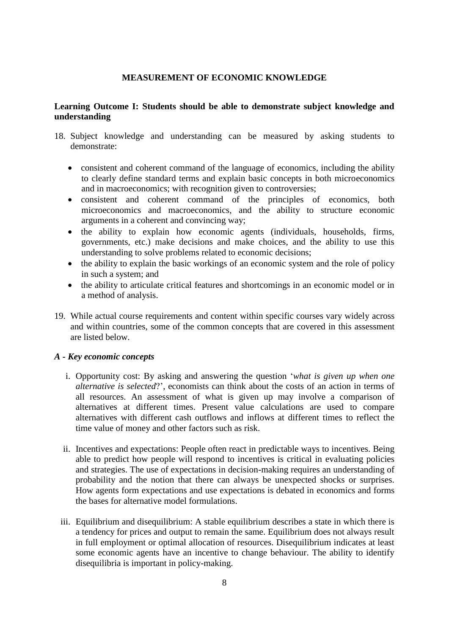# **MEASUREMENT OF ECONOMIC KNOWLEDGE**

# **Learning Outcome I: Students should be able to demonstrate subject knowledge and understanding**

- 18. Subject knowledge and understanding can be measured by asking students to demonstrate:
	- consistent and coherent command of the language of economics, including the ability to clearly define standard terms and explain basic concepts in both microeconomics and in macroeconomics; with recognition given to controversies;
	- consistent and coherent command of the principles of economics, both microeconomics and macroeconomics, and the ability to structure economic arguments in a coherent and convincing way;
	- the ability to explain how economic agents (individuals, households, firms, governments, etc.) make decisions and make choices, and the ability to use this understanding to solve problems related to economic decisions;
	- the ability to explain the basic workings of an economic system and the role of policy in such a system; and
	- the ability to articulate critical features and shortcomings in an economic model or in a method of analysis.
- 19. While actual course requirements and content within specific courses vary widely across and within countries, some of the common concepts that are covered in this assessment are listed below.

# *A - Key economic concepts*

- i. Opportunity cost: By asking and answering the question "*what is given up when one alternative is selected*?", economists can think about the costs of an action in terms of all resources. An assessment of what is given up may involve a comparison of alternatives at different times. Present value calculations are used to compare alternatives with different cash outflows and inflows at different times to reflect the time value of money and other factors such as risk.
- ii. Incentives and expectations: People often react in predictable ways to incentives. Being able to predict how people will respond to incentives is critical in evaluating policies and strategies. The use of expectations in decision-making requires an understanding of probability and the notion that there can always be unexpected shocks or surprises. How agents form expectations and use expectations is debated in economics and forms the bases for alternative model formulations.
- iii. Equilibrium and disequilibrium: A stable equilibrium describes a state in which there is a tendency for prices and output to remain the same. Equilibrium does not always result in full employment or optimal allocation of resources. Disequilibrium indicates at least some economic agents have an incentive to change behaviour. The ability to identify disequilibria is important in policy-making.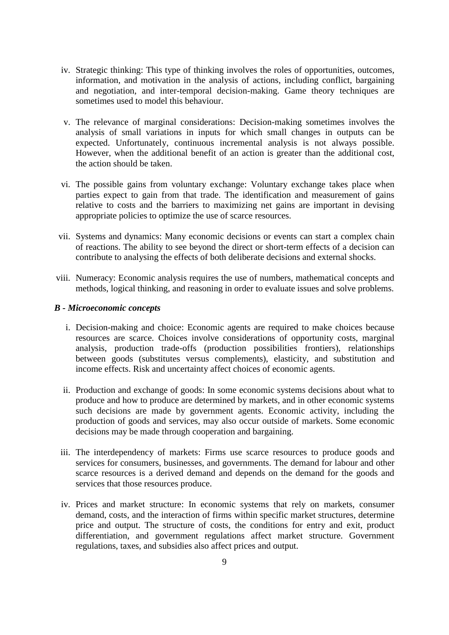- iv. Strategic thinking: This type of thinking involves the roles of opportunities, outcomes, information, and motivation in the analysis of actions, including conflict, bargaining and negotiation, and inter-temporal decision-making. Game theory techniques are sometimes used to model this behaviour.
- v. The relevance of marginal considerations: Decision-making sometimes involves the analysis of small variations in inputs for which small changes in outputs can be expected. Unfortunately, continuous incremental analysis is not always possible. However, when the additional benefit of an action is greater than the additional cost, the action should be taken.
- vi. The possible gains from voluntary exchange: Voluntary exchange takes place when parties expect to gain from that trade. The identification and measurement of gains relative to costs and the barriers to maximizing net gains are important in devising appropriate policies to optimize the use of scarce resources.
- vii. Systems and dynamics: Many economic decisions or events can start a complex chain of reactions. The ability to see beyond the direct or short-term effects of a decision can contribute to analysing the effects of both deliberate decisions and external shocks.
- viii. Numeracy: Economic analysis requires the use of numbers, mathematical concepts and methods, logical thinking, and reasoning in order to evaluate issues and solve problems.

#### *B - Microeconomic concepts*

- i. Decision-making and choice: Economic agents are required to make choices because resources are scarce. Choices involve considerations of opportunity costs, marginal analysis, production trade-offs (production possibilities frontiers), relationships between goods (substitutes versus complements), elasticity, and substitution and income effects. Risk and uncertainty affect choices of economic agents.
- ii. Production and exchange of goods: In some economic systems decisions about what to produce and how to produce are determined by markets, and in other economic systems such decisions are made by government agents. Economic activity, including the production of goods and services, may also occur outside of markets. Some economic decisions may be made through cooperation and bargaining.
- iii. The interdependency of markets: Firms use scarce resources to produce goods and services for consumers, businesses, and governments. The demand for labour and other scarce resources is a derived demand and depends on the demand for the goods and services that those resources produce.
- iv. Prices and market structure: In economic systems that rely on markets, consumer demand, costs, and the interaction of firms within specific market structures, determine price and output. The structure of costs, the conditions for entry and exit, product differentiation, and government regulations affect market structure. Government regulations, taxes, and subsidies also affect prices and output.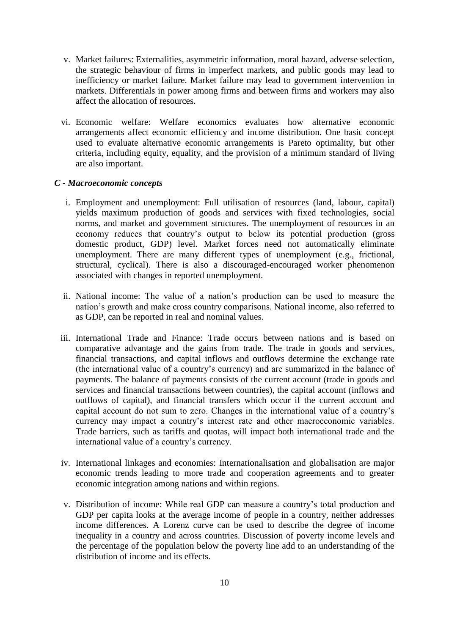- v. Market failures: Externalities, asymmetric information, moral hazard, adverse selection, the strategic behaviour of firms in imperfect markets, and public goods may lead to inefficiency or market failure. Market failure may lead to government intervention in markets. Differentials in power among firms and between firms and workers may also affect the allocation of resources.
- vi. Economic welfare: Welfare economics evaluates how alternative economic arrangements affect economic efficiency and income distribution. One basic concept used to evaluate alternative economic arrangements is Pareto optimality, but other criteria, including equity, equality, and the provision of a minimum standard of living are also important.

### *C - Macroeconomic concepts*

- i. Employment and unemployment: Full utilisation of resources (land, labour, capital) yields maximum production of goods and services with fixed technologies, social norms, and market and government structures. The unemployment of resources in an economy reduces that country's output to below its potential production (gross domestic product, GDP) level. Market forces need not automatically eliminate unemployment. There are many different types of unemployment (e.g., frictional, structural, cyclical). There is also a discouraged-encouraged worker phenomenon associated with changes in reported unemployment.
- ii. National income: The value of a nation"s production can be used to measure the nation"s growth and make cross country comparisons. National income, also referred to as GDP, can be reported in real and nominal values.
- iii. International Trade and Finance: Trade occurs between nations and is based on comparative advantage and the gains from trade. The trade in goods and services, financial transactions, and capital inflows and outflows determine the exchange rate (the international value of a country"s currency) and are summarized in the balance of payments. The balance of payments consists of the current account (trade in goods and services and financial transactions between countries), the capital account (inflows and outflows of capital), and financial transfers which occur if the current account and capital account do not sum to zero. Changes in the international value of a country"s currency may impact a country's interest rate and other macroeconomic variables. Trade barriers, such as tariffs and quotas, will impact both international trade and the international value of a country"s currency.
- iv. International linkages and economies: Internationalisation and globalisation are major economic trends leading to more trade and cooperation agreements and to greater economic integration among nations and within regions.
- v. Distribution of income: While real GDP can measure a country"s total production and GDP per capita looks at the average income of people in a country, neither addresses income differences. A Lorenz curve can be used to describe the degree of income inequality in a country and across countries. Discussion of poverty income levels and the percentage of the population below the poverty line add to an understanding of the distribution of income and its effects.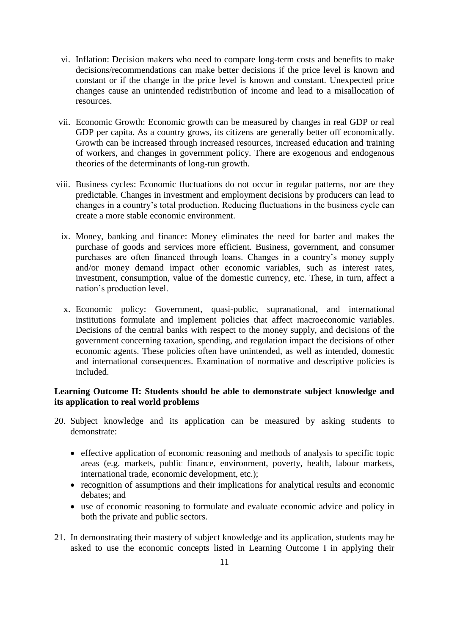- vi. Inflation: Decision makers who need to compare long-term costs and benefits to make decisions/recommendations can make better decisions if the price level is known and constant or if the change in the price level is known and constant. Unexpected price changes cause an unintended redistribution of income and lead to a misallocation of resources.
- vii. Economic Growth: Economic growth can be measured by changes in real GDP or real GDP per capita. As a country grows, its citizens are generally better off economically. Growth can be increased through increased resources, increased education and training of workers, and changes in government policy. There are exogenous and endogenous theories of the determinants of long-run growth.
- viii. Business cycles: Economic fluctuations do not occur in regular patterns, nor are they predictable. Changes in investment and employment decisions by producers can lead to changes in a country"s total production. Reducing fluctuations in the business cycle can create a more stable economic environment.
	- ix. Money, banking and finance: Money eliminates the need for barter and makes the purchase of goods and services more efficient. Business, government, and consumer purchases are often financed through loans. Changes in a country"s money supply and/or money demand impact other economic variables, such as interest rates, investment, consumption, value of the domestic currency, etc. These, in turn, affect a nation"s production level.
	- x. Economic policy: Government, quasi-public, supranational, and international institutions formulate and implement policies that affect macroeconomic variables. Decisions of the central banks with respect to the money supply, and decisions of the government concerning taxation, spending, and regulation impact the decisions of other economic agents. These policies often have unintended, as well as intended, domestic and international consequences. Examination of normative and descriptive policies is included.

# **Learning Outcome II: Students should be able to demonstrate subject knowledge and its application to real world problems**

- 20. Subject knowledge and its application can be measured by asking students to demonstrate:
	- effective application of economic reasoning and methods of analysis to specific topic areas (e.g. markets, public finance, environment, poverty, health, labour markets, international trade, economic development, etc.);
	- recognition of assumptions and their implications for analytical results and economic debates; and
	- use of economic reasoning to formulate and evaluate economic advice and policy in both the private and public sectors.
- 21. In demonstrating their mastery of subject knowledge and its application, students may be asked to use the economic concepts listed in Learning Outcome I in applying their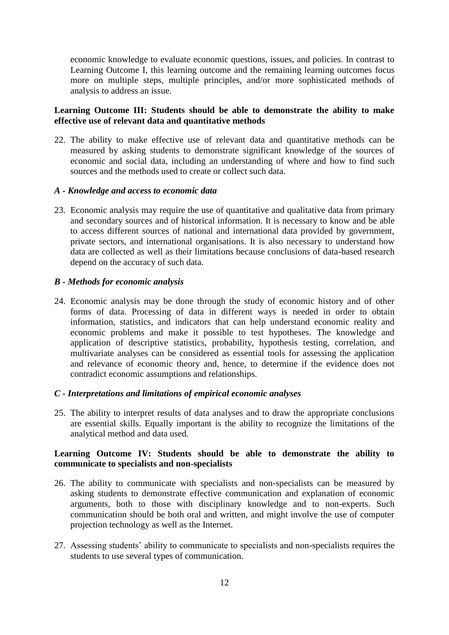economic knowledge to evaluate economic questions, issues, and policies. In contrast to Learning Outcome I, this learning outcome and the remaining learning outcomes focus more on multiple steps, multiple principles, and/or more sophisticated methods of analysis to address an issue.

# **Learning Outcome III: Students should be able to demonstrate the ability to make effective use of relevant data and quantitative methods**

22. The ability to make effective use of relevant data and quantitative methods can be measured by asking students to demonstrate significant knowledge of the sources of economic and social data, including an understanding of where and how to find such sources and the methods used to create or collect such data.

#### *A - Knowledge and access to economic data*

23. Economic analysis may require the use of quantitative and qualitative data from primary and secondary sources and of historical information. It is necessary to know and be able to access different sources of national and international data provided by government, private sectors, and international organisations. It is also necessary to understand how data are collected as well as their limitations because conclusions of data-based research depend on the accuracy of such data.

#### *B - Methods for economic analysis*

24. Economic analysis may be done through the study of economic history and of other forms of data. Processing of data in different ways is needed in order to obtain information, statistics, and indicators that can help understand economic reality and economic problems and make it possible to test hypotheses. The knowledge and application of descriptive statistics, probability, hypothesis testing, correlation, and multivariate analyses can be considered as essential tools for assessing the application and relevance of economic theory and, hence, to determine if the evidence does not contradict economic assumptions and relationships.

#### *C - Interpretations and limitations of empirical economic analyses*

25. The ability to interpret results of data analyses and to draw the appropriate conclusions are essential skills. Equally important is the ability to recognize the limitations of the analytical method and data used.

# **Learning Outcome IV: Students should be able to demonstrate the ability to communicate to specialists and non-specialists**

- 26. The ability to communicate with specialists and non-specialists can be measured by asking students to demonstrate effective communication and explanation of economic arguments, both to those with disciplinary knowledge and to non-experts. Such communication should be both oral and written, and might involve the use of computer projection technology as well as the Internet.
- 27. Assessing students" ability to communicate to specialists and non-specialists requires the students to use several types of communication.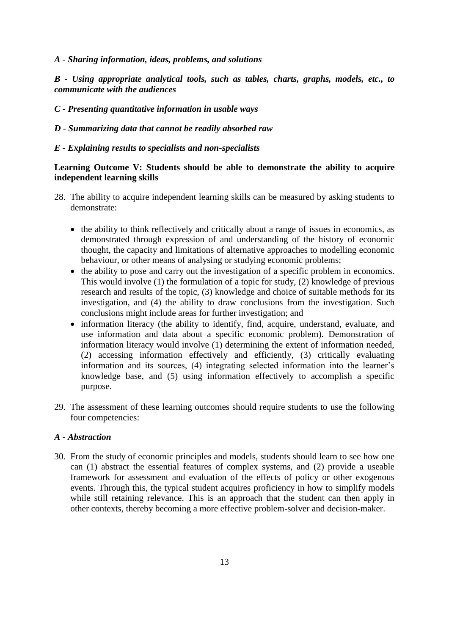#### *A - Sharing information, ideas, problems, and solutions*

*B - Using appropriate analytical tools, such as tables, charts, graphs, models, etc., to communicate with the audiences*

- *C - Presenting quantitative information in usable ways*
- *D - Summarizing data that cannot be readily absorbed raw*
- *E - Explaining results to specialists and non-specialists*

## **Learning Outcome V: Students should be able to demonstrate the ability to acquire independent learning skills**

- 28. The ability to acquire independent learning skills can be measured by asking students to demonstrate:
	- the ability to think reflectively and critically about a range of issues in economics, as demonstrated through expression of and understanding of the history of economic thought, the capacity and limitations of alternative approaches to modelling economic behaviour, or other means of analysing or studying economic problems;
	- the ability to pose and carry out the investigation of a specific problem in economics. This would involve (1) the formulation of a topic for study, (2) knowledge of previous research and results of the topic, (3) knowledge and choice of suitable methods for its investigation, and (4) the ability to draw conclusions from the investigation. Such conclusions might include areas for further investigation; and
	- information literacy (the ability to identify, find, acquire, understand, evaluate, and use information and data about a specific economic problem). Demonstration of information literacy would involve (1) determining the extent of information needed, (2) accessing information effectively and efficiently, (3) critically evaluating information and its sources, (4) integrating selected information into the learner"s knowledge base, and (5) using information effectively to accomplish a specific purpose.
- 29. The assessment of these learning outcomes should require students to use the following four competencies:

### *A - Abstraction*

30. From the study of economic principles and models, students should learn to see how one can (1) abstract the essential features of complex systems, and (2) provide a useable framework for assessment and evaluation of the effects of policy or other exogenous events. Through this, the typical student acquires proficiency in how to simplify models while still retaining relevance. This is an approach that the student can then apply in other contexts, thereby becoming a more effective problem-solver and decision-maker.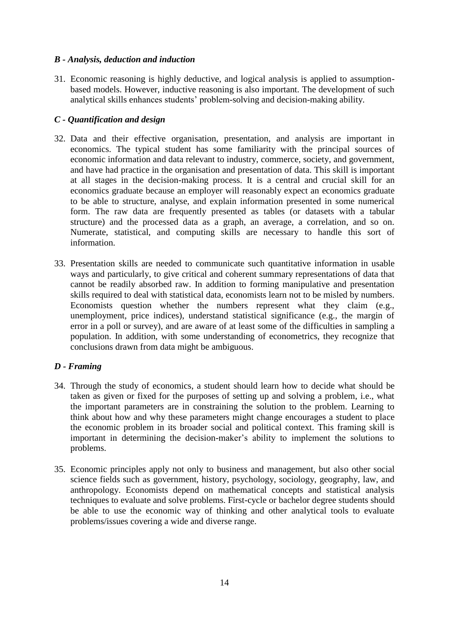# *B - Analysis, deduction and induction*

31. Economic reasoning is highly deductive, and logical analysis is applied to assumptionbased models. However, inductive reasoning is also important. The development of such analytical skills enhances students" problem-solving and decision-making ability.

# *C - Quantification and design*

- 32. Data and their effective organisation, presentation, and analysis are important in economics. The typical student has some familiarity with the principal sources of economic information and data relevant to industry, commerce, society, and government, and have had practice in the organisation and presentation of data. This skill is important at all stages in the decision-making process. It is a central and crucial skill for an economics graduate because an employer will reasonably expect an economics graduate to be able to structure, analyse, and explain information presented in some numerical form. The raw data are frequently presented as tables (or datasets with a tabular structure) and the processed data as a graph, an average, a correlation, and so on. Numerate, statistical, and computing skills are necessary to handle this sort of information.
- 33. Presentation skills are needed to communicate such quantitative information in usable ways and particularly, to give critical and coherent summary representations of data that cannot be readily absorbed raw. In addition to forming manipulative and presentation skills required to deal with statistical data, economists learn not to be misled by numbers. Economists question whether the numbers represent what they claim (e.g., unemployment, price indices), understand statistical significance (e.g., the margin of error in a poll or survey), and are aware of at least some of the difficulties in sampling a population. In addition, with some understanding of econometrics, they recognize that conclusions drawn from data might be ambiguous.

# *D - Framing*

- 34. Through the study of economics, a student should learn how to decide what should be taken as given or fixed for the purposes of setting up and solving a problem, i.e., what the important parameters are in constraining the solution to the problem. Learning to think about how and why these parameters might change encourages a student to place the economic problem in its broader social and political context. This framing skill is important in determining the decision-maker"s ability to implement the solutions to problems.
- 35. Economic principles apply not only to business and management, but also other social science fields such as government, history, psychology, sociology, geography, law, and anthropology. Economists depend on mathematical concepts and statistical analysis techniques to evaluate and solve problems. First-cycle or bachelor degree students should be able to use the economic way of thinking and other analytical tools to evaluate problems/issues covering a wide and diverse range.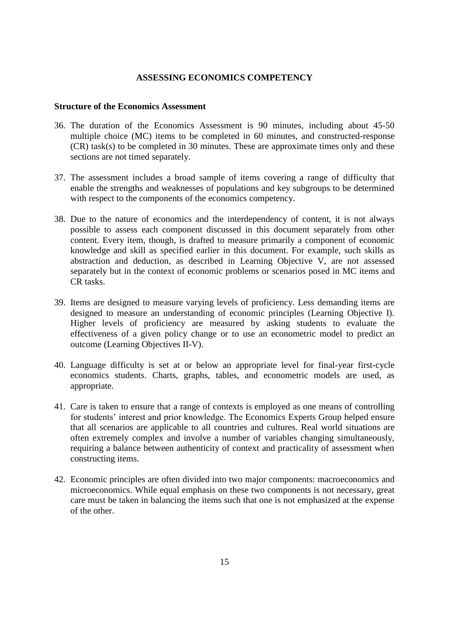#### **ASSESSING ECONOMICS COMPETENCY**

#### **Structure of the Economics Assessment**

- 36. The duration of the Economics Assessment is 90 minutes, including about 45-50 multiple choice (MC) items to be completed in 60 minutes, and constructed-response (CR) task(s) to be completed in 30 minutes. These are approximate times only and these sections are not timed separately.
- 37. The assessment includes a broad sample of items covering a range of difficulty that enable the strengths and weaknesses of populations and key subgroups to be determined with respect to the components of the economics competency.
- 38. Due to the nature of economics and the interdependency of content, it is not always possible to assess each component discussed in this document separately from other content. Every item, though, is drafted to measure primarily a component of economic knowledge and skill as specified earlier in this document. For example, such skills as abstraction and deduction, as described in Learning Objective V, are not assessed separately but in the context of economic problems or scenarios posed in MC items and CR tasks.
- 39. Items are designed to measure varying levels of proficiency. Less demanding items are designed to measure an understanding of economic principles (Learning Objective I). Higher levels of proficiency are measured by asking students to evaluate the effectiveness of a given policy change or to use an econometric model to predict an outcome (Learning Objectives II-V).
- 40. Language difficulty is set at or below an appropriate level for final-year first-cycle economics students. Charts, graphs, tables, and econometric models are used, as appropriate.
- 41. Care is taken to ensure that a range of contexts is employed as one means of controlling for students" interest and prior knowledge. The Economics Experts Group helped ensure that all scenarios are applicable to all countries and cultures. Real world situations are often extremely complex and involve a number of variables changing simultaneously, requiring a balance between authenticity of context and practicality of assessment when constructing items.
- 42. Economic principles are often divided into two major components: macroeconomics and microeconomics. While equal emphasis on these two components is not necessary, great care must be taken in balancing the items such that one is not emphasized at the expense of the other.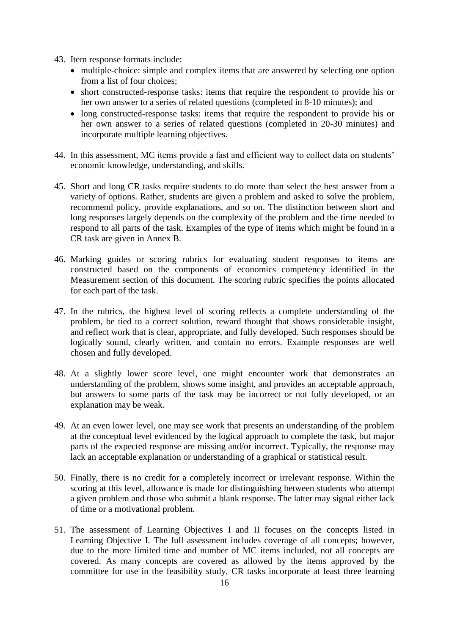- 43. Item response formats include:
	- multiple-choice: simple and complex items that are answered by selecting one option from a list of four choices;
	- short constructed-response tasks: items that require the respondent to provide his or her own answer to a series of related questions (completed in 8-10 minutes); and
	- long constructed-response tasks: items that require the respondent to provide his or her own answer to a series of related questions (completed in 20-30 minutes) and incorporate multiple learning objectives.
- 44. In this assessment, MC items provide a fast and efficient way to collect data on students' economic knowledge, understanding, and skills.
- 45. Short and long CR tasks require students to do more than select the best answer from a variety of options. Rather, students are given a problem and asked to solve the problem, recommend policy, provide explanations, and so on. The distinction between short and long responses largely depends on the complexity of the problem and the time needed to respond to all parts of the task. Examples of the type of items which might be found in a CR task are given in Annex B.
- 46. Marking guides or scoring rubrics for evaluating student responses to items are constructed based on the components of economics competency identified in the Measurement section of this document. The scoring rubric specifies the points allocated for each part of the task.
- 47. In the rubrics, the highest level of scoring reflects a complete understanding of the problem, be tied to a correct solution, reward thought that shows considerable insight, and reflect work that is clear, appropriate, and fully developed. Such responses should be logically sound, clearly written, and contain no errors. Example responses are well chosen and fully developed.
- 48. At a slightly lower score level, one might encounter work that demonstrates an understanding of the problem, shows some insight, and provides an acceptable approach, but answers to some parts of the task may be incorrect or not fully developed, or an explanation may be weak.
- 49. At an even lower level, one may see work that presents an understanding of the problem at the conceptual level evidenced by the logical approach to complete the task, but major parts of the expected response are missing and/or incorrect. Typically, the response may lack an acceptable explanation or understanding of a graphical or statistical result.
- 50. Finally, there is no credit for a completely incorrect or irrelevant response. Within the scoring at this level, allowance is made for distinguishing between students who attempt a given problem and those who submit a blank response. The latter may signal either lack of time or a motivational problem.
- 51. The assessment of Learning Objectives I and II focuses on the concepts listed in Learning Objective I. The full assessment includes coverage of all concepts; however, due to the more limited time and number of MC items included, not all concepts are covered. As many concepts are covered as allowed by the items approved by the committee for use in the feasibility study, CR tasks incorporate at least three learning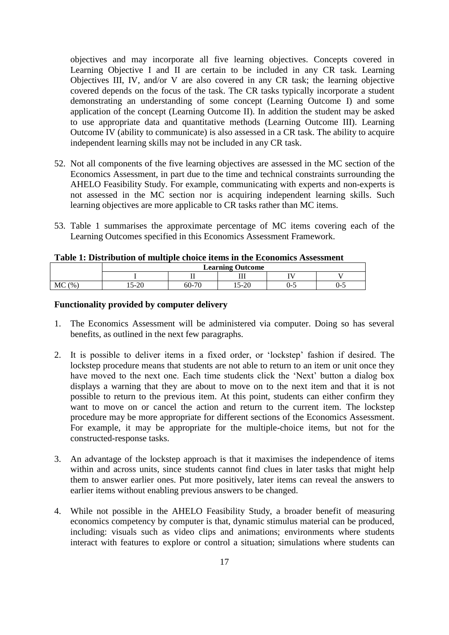objectives and may incorporate all five learning objectives. Concepts covered in Learning Objective I and II are certain to be included in any CR task. Learning Objectives III, IV, and/or V are also covered in any CR task; the learning objective covered depends on the focus of the task. The CR tasks typically incorporate a student demonstrating an understanding of some concept (Learning Outcome I) and some application of the concept (Learning Outcome II). In addition the student may be asked to use appropriate data and quantitative methods (Learning Outcome III). Learning Outcome IV (ability to communicate) is also assessed in a CR task. The ability to acquire independent learning skills may not be included in any CR task.

- 52. Not all components of the five learning objectives are assessed in the MC section of the Economics Assessment, in part due to the time and technical constraints surrounding the AHELO Feasibility Study. For example, communicating with experts and non-experts is not assessed in the MC section nor is acquiring independent learning skills. Such learning objectives are more applicable to CR tasks rather than MC items.
- 53. [Table 1](#page-18-0) summarises the approximate percentage of MC items covering each of the Learning Outcomes specified in this Economics Assessment Framework.

|          | <b>Learning Outcome</b>         |              |       |          |     |  |
|----------|---------------------------------|--------------|-------|----------|-----|--|
|          |                                 |              |       |          |     |  |
| МC<br>(% | $\Delta$<br>$\mathbf{r}$<br>-20 | 70<br>$60 -$ | 15-20 | <b>.</b> | U-. |  |

<span id="page-18-0"></span>

|  |  | Table 1: Distribution of multiple choice items in the Economics Assessment |
|--|--|----------------------------------------------------------------------------|
|--|--|----------------------------------------------------------------------------|

#### **Functionality provided by computer delivery**

- 1. The Economics Assessment will be administered via computer. Doing so has several benefits, as outlined in the next few paragraphs.
- 2. It is possible to deliver items in a fixed order, or "lockstep" fashion if desired. The lockstep procedure means that students are not able to return to an item or unit once they have moved to the next one. Each time students click the 'Next' button a dialog box displays a warning that they are about to move on to the next item and that it is not possible to return to the previous item. At this point, students can either confirm they want to move on or cancel the action and return to the current item. The lockstep procedure may be more appropriate for different sections of the Economics Assessment. For example, it may be appropriate for the multiple-choice items, but not for the constructed-response tasks.
- 3. An advantage of the lockstep approach is that it maximises the independence of items within and across units, since students cannot find clues in later tasks that might help them to answer earlier ones. Put more positively, later items can reveal the answers to earlier items without enabling previous answers to be changed.
- 4. While not possible in the AHELO Feasibility Study, a broader benefit of measuring economics competency by computer is that, dynamic stimulus material can be produced, including: visuals such as video clips and animations; environments where students interact with features to explore or control a situation; simulations where students can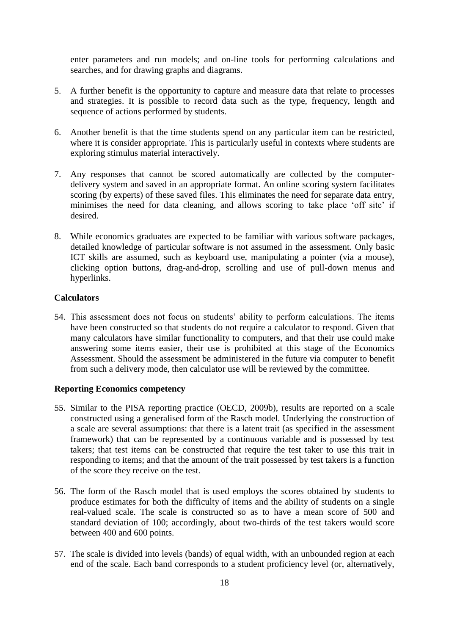enter parameters and run models; and on-line tools for performing calculations and searches, and for drawing graphs and diagrams.

- 5. A further benefit is the opportunity to capture and measure data that relate to processes and strategies. It is possible to record data such as the type, frequency, length and sequence of actions performed by students.
- 6. Another benefit is that the time students spend on any particular item can be restricted, where it is consider appropriate. This is particularly useful in contexts where students are exploring stimulus material interactively.
- 7. Any responses that cannot be scored automatically are collected by the computerdelivery system and saved in an appropriate format. An online scoring system facilitates scoring (by experts) of these saved files. This eliminates the need for separate data entry, minimises the need for data cleaning, and allows scoring to take place 'off site' if desired.
- 8. While economics graduates are expected to be familiar with various software packages, detailed knowledge of particular software is not assumed in the assessment. Only basic ICT skills are assumed, such as keyboard use, manipulating a pointer (via a mouse), clicking option buttons, drag-and-drop, scrolling and use of pull-down menus and hyperlinks.

# **Calculators**

54. This assessment does not focus on students" ability to perform calculations. The items have been constructed so that students do not require a calculator to respond. Given that many calculators have similar functionality to computers, and that their use could make answering some items easier, their use is prohibited at this stage of the Economics Assessment. Should the assessment be administered in the future via computer to benefit from such a delivery mode, then calculator use will be reviewed by the committee.

#### **Reporting Economics competency**

- 55. Similar to the PISA reporting practice (OECD, 2009b), results are reported on a scale constructed using a generalised form of the Rasch model. Underlying the construction of a scale are several assumptions: that there is a latent trait (as specified in the assessment framework) that can be represented by a continuous variable and is possessed by test takers; that test items can be constructed that require the test taker to use this trait in responding to items; and that the amount of the trait possessed by test takers is a function of the score they receive on the test.
- 56. The form of the Rasch model that is used employs the scores obtained by students to produce estimates for both the difficulty of items and the ability of students on a single real-valued scale. The scale is constructed so as to have a mean score of 500 and standard deviation of 100; accordingly, about two-thirds of the test takers would score between 400 and 600 points.
- 57. The scale is divided into levels (bands) of equal width, with an unbounded region at each end of the scale. Each band corresponds to a student proficiency level (or, alternatively,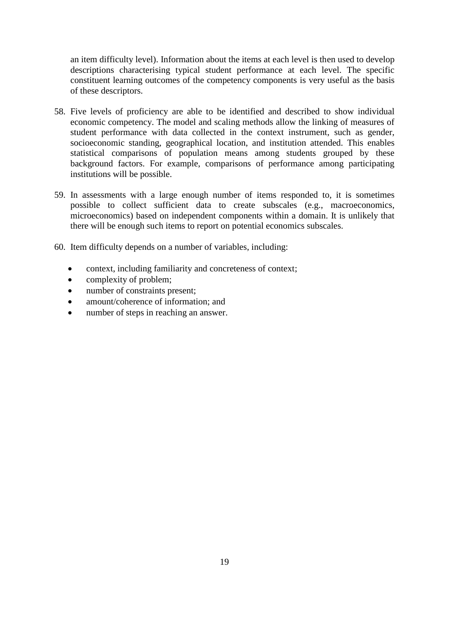an item difficulty level). Information about the items at each level is then used to develop descriptions characterising typical student performance at each level. The specific constituent learning outcomes of the competency components is very useful as the basis of these descriptors.

- 58. Five levels of proficiency are able to be identified and described to show individual economic competency. The model and scaling methods allow the linking of measures of student performance with data collected in the context instrument, such as gender, socioeconomic standing, geographical location, and institution attended. This enables statistical comparisons of population means among students grouped by these background factors. For example, comparisons of performance among participating institutions will be possible.
- 59. In assessments with a large enough number of items responded to, it is sometimes possible to collect sufficient data to create subscales (e.g., macroeconomics, microeconomics) based on independent components within a domain. It is unlikely that there will be enough such items to report on potential economics subscales.
- 60. Item difficulty depends on a number of variables, including:
	- context, including familiarity and concreteness of context;
	- complexity of problem:
	- number of constraints present;
	- amount/coherence of information; and
	- number of steps in reaching an answer.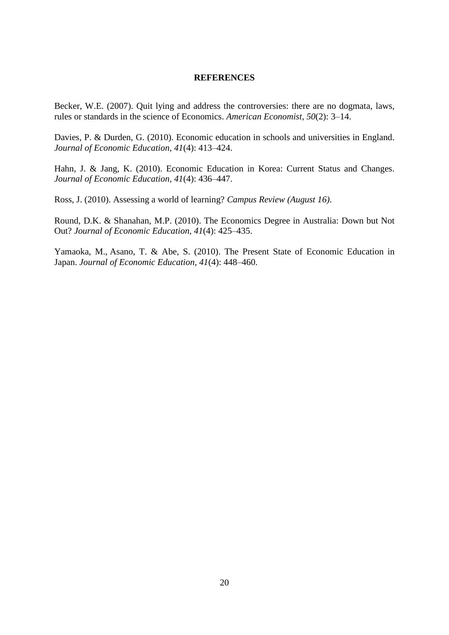#### **REFERENCES**

Becker, W.E. (2007). Quit lying and address the controversies: there are no dogmata, laws, rules or standards in the science of Economics. *American Economist, 50*(2): 3–14.

Davies, P. & Durden, G. (2010). Economic education in schools and universities in England. *Journal of Economic Education, 41*(4): 413–424.

Hahn, J. & Jang, K. (2010). Economic Education in Korea: Current Status and Changes. *Journal of Economic Education, 41*(4): 436–447.

Ross, J. (2010). Assessing a world of learning? *Campus Review (August 16)*.

Round, D.K. & Shanahan, M.P. (2010). The Economics Degree in Australia: Down but Not Out? *Journal of Economic Education, 41*(4): 425–435.

Yamaoka, M., Asano, T. & Abe, S. (2010). The Present State of Economic Education in Japan. *Journal of Economic Education, 41*(4): 448–460.